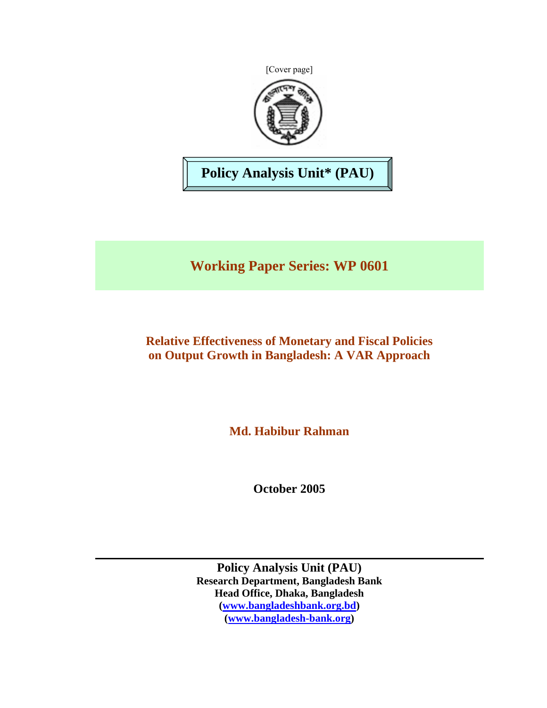[Cover page]



**Policy Analysis Unit\* (PAU)** 

**Working Paper Series: WP 0601** 

**Relative Effectiveness of Monetary and Fiscal Policies on Output Growth in Bangladesh: A VAR Approach**

**Md. Habibur Rahman** 

**October 2005** 

**Policy Analysis Unit (PAU) Research Department, Bangladesh Bank Head Office, Dhaka, Bangladesh [\(www.bangladeshbank.org.bd\)](http://www.bangladeshbank.org.bd/) [\(www.bangladesh-bank.org\)](http://www.bangladesh-bank.org/)**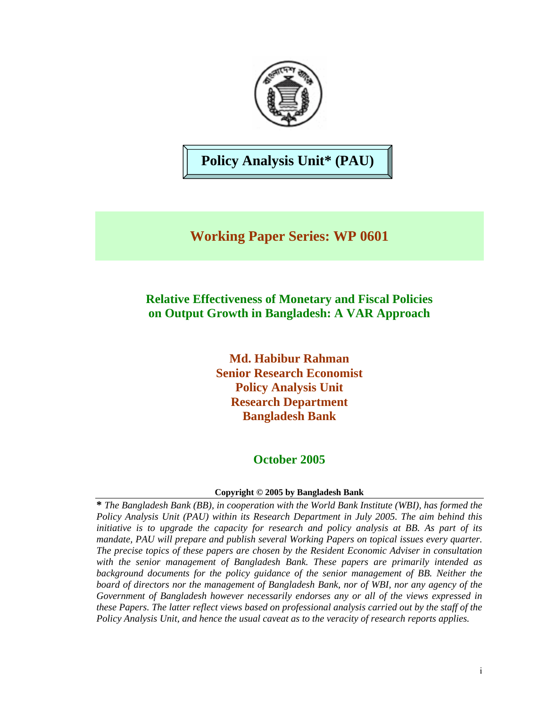

# **Policy Analysis Unit\* (PAU)**

# **Working Paper Series: WP 0601**

# **Relative Effectiveness of Monetary and Fiscal Policies on Output Growth in Bangladesh: A VAR Approach**

**Md. Habibur Rahman Senior Research Economist Policy Analysis Unit Research Department Bangladesh Bank**

# **October 2005**

#### **Copyright © 2005 by Bangladesh Bank**

**\*** *The Bangladesh Bank (BB), in cooperation with the World Bank Institute (WBI), has formed the Policy Analysis Unit (PAU) within its Research Department in July 2005. The aim behind this initiative is to upgrade the capacity for research and policy analysis at BB. As part of its mandate, PAU will prepare and publish several Working Papers on topical issues every quarter. The precise topics of these papers are chosen by the Resident Economic Adviser in consultation with the senior management of Bangladesh Bank. These papers are primarily intended as background documents for the policy guidance of the senior management of BB. Neither the board of directors nor the management of Bangladesh Bank, nor of WBI, nor any agency of the Government of Bangladesh however necessarily endorses any or all of the views expressed in these Papers. The latter reflect views based on professional analysis carried out by the staff of the Policy Analysis Unit, and hence the usual caveat as to the veracity of research reports applies.*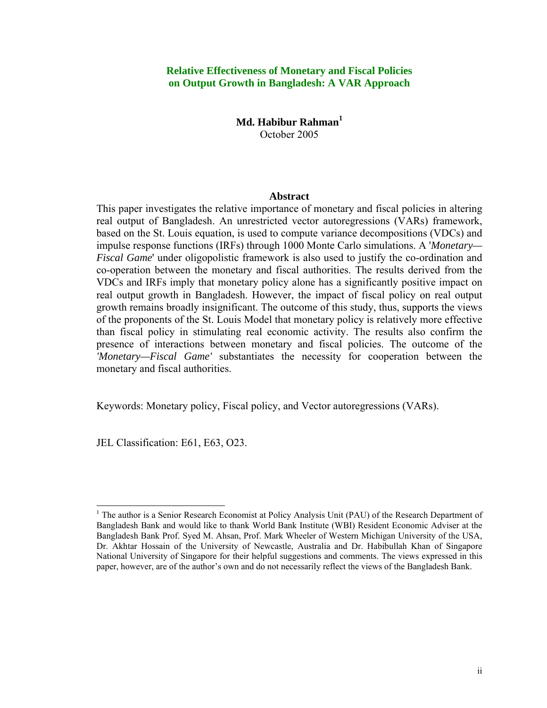#### **Relative Effectiveness of Monetary and Fiscal Policies on Output Growth in Bangladesh: A VAR Approach**

## **Md. Habibur Rahman[1](#page-2-0)** October 2005

#### **Abstract**

This paper investigates the relative importance of monetary and fiscal policies in altering real output of Bangladesh. An unrestricted vector autoregressions (VARs) framework, based on the St. Louis equation, is used to compute variance decompositions (VDCs) and impulse response functions (IRFs) through 1000 Monte Carlo simulations. A '*Monetary— Fiscal Game*' under oligopolistic framework is also used to justify the co-ordination and co-operation between the monetary and fiscal authorities. The results derived from the VDCs and IRFs imply that monetary policy alone has a significantly positive impact on real output growth in Bangladesh. However, the impact of fiscal policy on real output growth remains broadly insignificant. The outcome of this study, thus, supports the views of the proponents of the St. Louis Model that monetary policy is relatively more effective than fiscal policy in stimulating real economic activity. The results also confirm the presence of interactions between monetary and fiscal policies. The outcome of the *'Monetary—Fiscal Game'* substantiates the necessity for cooperation between the monetary and fiscal authorities.

Keywords: Monetary policy, Fiscal policy, and Vector autoregressions (VARs).

JEL Classification: E61, E63, O23.

<span id="page-2-0"></span><sup>|&</sup>lt;br>|<br>| <sup>1</sup> The author is a Senior Research Economist at Policy Analysis Unit (PAU) of the Research Department of Bangladesh Bank and would like to thank World Bank Institute (WBI) Resident Economic Adviser at the Bangladesh Bank Prof. Syed M. Ahsan, Prof. Mark Wheeler of Western Michigan University of the USA, Dr. Akhtar Hossain of the University of Newcastle, Australia and Dr. Habibullah Khan of Singapore National University of Singapore for their helpful suggestions and comments. The views expressed in this paper, however, are of the author's own and do not necessarily reflect the views of the Bangladesh Bank.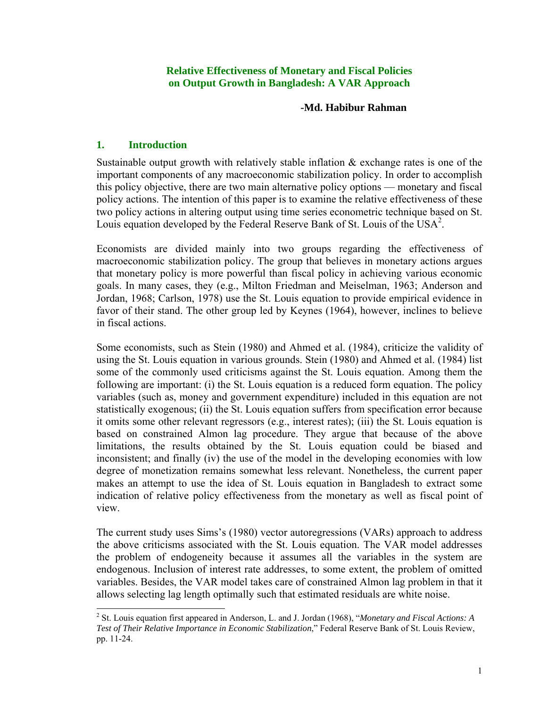#### **Relative Effectiveness of Monetary and Fiscal Policies on Output Growth in Bangladesh: A VAR Approach**

#### **-Md. Habibur Rahman**

## **1. Introduction**

Sustainable output growth with relatively stable inflation & exchange rates is one of the important components of any macroeconomic stabilization policy. In order to accomplish this policy objective, there are two main alternative policy options — monetary and fiscal policy actions. The intention of this paper is to examine the relative effectiveness of these two policy actions in altering output using time series econometric technique based on St. Louis equation developed by the Federal Reserve Bank of St. Louis of the USA<sup>[2](#page-3-0)</sup>.

Economists are divided mainly into two groups regarding the effectiveness of macroeconomic stabilization policy. The group that believes in monetary actions argues that monetary policy is more powerful than fiscal policy in achieving various economic goals. In many cases, they (e.g., Milton Friedman and Meiselman, 1963; Anderson and Jordan, 1968; Carlson, 1978) use the St. Louis equation to provide empirical evidence in favor of their stand. The other group led by Keynes (1964), however, inclines to believe in fiscal actions.

Some economists, such as Stein (1980) and Ahmed et al. (1984), criticize the validity of using the St. Louis equation in various grounds. Stein (1980) and Ahmed et al. (1984) list some of the commonly used criticisms against the St. Louis equation. Among them the following are important: (i) the St. Louis equation is a reduced form equation. The policy variables (such as, money and government expenditure) included in this equation are not statistically exogenous; (ii) the St. Louis equation suffers from specification error because it omits some other relevant regressors (e.g., interest rates); (iii) the St. Louis equation is based on constrained Almon lag procedure. They argue that because of the above limitations, the results obtained by the St. Louis equation could be biased and inconsistent; and finally (iv) the use of the model in the developing economies with low degree of monetization remains somewhat less relevant. Nonetheless, the current paper makes an attempt to use the idea of St. Louis equation in Bangladesh to extract some indication of relative policy effectiveness from the monetary as well as fiscal point of view.

The current study uses Sims's (1980) vector autoregressions (VARs) approach to address the above criticisms associated with the St. Louis equation. The VAR model addresses the problem of endogeneity because it assumes all the variables in the system are endogenous. Inclusion of interest rate addresses, to some extent, the problem of omitted variables. Besides, the VAR model takes care of constrained Almon lag problem in that it allows selecting lag length optimally such that estimated residuals are white noise.

<span id="page-3-0"></span><sup>&</sup>lt;sup>2</sup> St. Louis equation first appeared in Anderson, L. and J. Jordan (1968), "*Monetary and Fiscal Actions: A Test of Their Relative Importance in Economic Stabilization*," Federal Reserve Bank of St. Louis Review, pp. 11-24.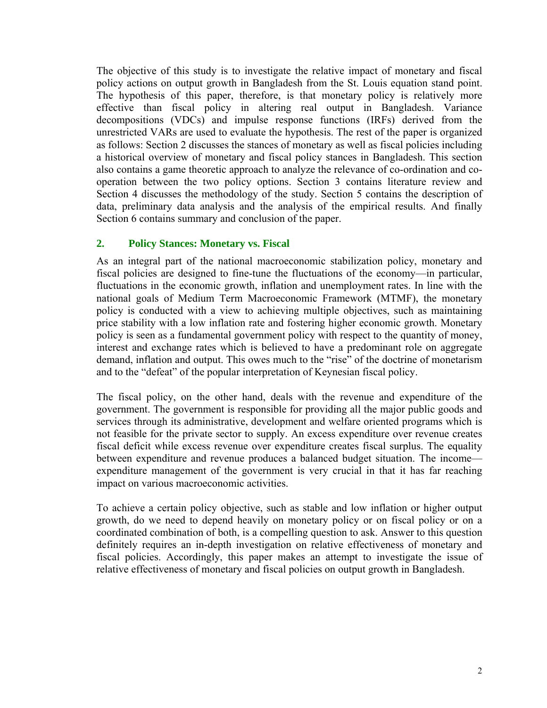The objective of this study is to investigate the relative impact of monetary and fiscal policy actions on output growth in Bangladesh from the St. Louis equation stand point. The hypothesis of this paper, therefore, is that monetary policy is relatively more effective than fiscal policy in altering real output in Bangladesh. Variance decompositions (VDCs) and impulse response functions (IRFs) derived from the unrestricted VARs are used to evaluate the hypothesis. The rest of the paper is organized as follows: Section 2 discusses the stances of monetary as well as fiscal policies including a historical overview of monetary and fiscal policy stances in Bangladesh. This section also contains a game theoretic approach to analyze the relevance of co-ordination and cooperation between the two policy options. Section 3 contains literature review and Section 4 discusses the methodology of the study. Section 5 contains the description of data, preliminary data analysis and the analysis of the empirical results. And finally Section 6 contains summary and conclusion of the paper.

#### **2. Policy Stances: Monetary vs. Fiscal**

As an integral part of the national macroeconomic stabilization policy, monetary and fiscal policies are designed to fine-tune the fluctuations of the economy—in particular, fluctuations in the economic growth, inflation and unemployment rates. In line with the national goals of Medium Term Macroeconomic Framework (MTMF), the monetary policy is conducted with a view to achieving multiple objectives, such as maintaining price stability with a low inflation rate and fostering higher economic growth. Monetary policy is seen as a fundamental government policy with respect to the quantity of money, interest and exchange rates which is believed to have a predominant role on aggregate demand, inflation and output. This owes much to the "rise" of the doctrine of monetarism and to the "defeat" of the popular interpretation of Keynesian fiscal policy.

The fiscal policy, on the other hand, deals with the revenue and expenditure of the government. The government is responsible for providing all the major public goods and services through its administrative, development and welfare oriented programs which is not feasible for the private sector to supply. An excess expenditure over revenue creates fiscal deficit while excess revenue over expenditure creates fiscal surplus. The equality between expenditure and revenue produces a balanced budget situation. The income expenditure management of the government is very crucial in that it has far reaching impact on various macroeconomic activities.

To achieve a certain policy objective, such as stable and low inflation or higher output growth, do we need to depend heavily on monetary policy or on fiscal policy or on a coordinated combination of both, is a compelling question to ask. Answer to this question definitely requires an in-depth investigation on relative effectiveness of monetary and fiscal policies. Accordingly, this paper makes an attempt to investigate the issue of relative effectiveness of monetary and fiscal policies on output growth in Bangladesh.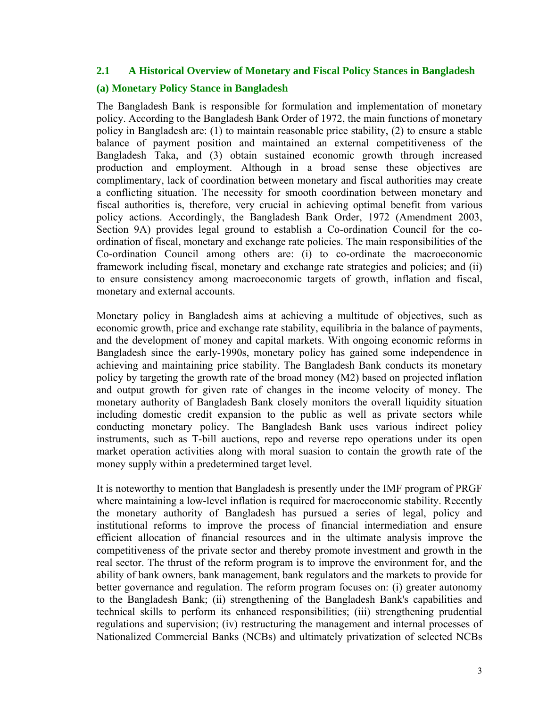#### **2.1 A Historical Overview of Monetary and Fiscal Policy Stances in Bangladesh**

#### **(a) Monetary Policy Stance in Bangladesh**

The Bangladesh Bank is responsible for formulation and implementation of monetary policy. According to the Bangladesh Bank Order of 1972, the main functions of monetary policy in Bangladesh are: (1) to maintain reasonable price stability, (2) to ensure a stable balance of payment position and maintained an external competitiveness of the Bangladesh Taka, and (3) obtain sustained economic growth through increased production and employment. Although in a broad sense these objectives are complimentary, lack of coordination between monetary and fiscal authorities may create a conflicting situation. The necessity for smooth coordination between monetary and fiscal authorities is, therefore, very crucial in achieving optimal benefit from various policy actions. Accordingly, the Bangladesh Bank Order, 1972 (Amendment 2003, Section 9A) provides legal ground to establish a Co-ordination Council for the coordination of fiscal, monetary and exchange rate policies. The main responsibilities of the Co-ordination Council among others are: (i) to co-ordinate the macroeconomic framework including fiscal, monetary and exchange rate strategies and policies; and (ii) to ensure consistency among macroeconomic targets of growth, inflation and fiscal, monetary and external accounts.

Monetary policy in Bangladesh aims at achieving a multitude of objectives, such as economic growth, price and exchange rate stability, equilibria in the balance of payments, and the development of money and capital markets. With ongoing economic reforms in Bangladesh since the early-1990s, monetary policy has gained some independence in achieving and maintaining price stability. The Bangladesh Bank conducts its monetary policy by targeting the growth rate of the broad money (M2) based on projected inflation and output growth for given rate of changes in the income velocity of money. The monetary authority of Bangladesh Bank closely monitors the overall liquidity situation including domestic credit expansion to the public as well as private sectors while conducting monetary policy. The Bangladesh Bank uses various indirect policy instruments, such as T-bill auctions, repo and reverse repo operations under its open market operation activities along with moral suasion to contain the growth rate of the money supply within a predetermined target level.

It is noteworthy to mention that Bangladesh is presently under the IMF program of PRGF where maintaining a low-level inflation is required for macroeconomic stability. Recently the monetary authority of Bangladesh has pursued a series of legal, policy and institutional reforms to improve the process of financial intermediation and ensure efficient allocation of financial resources and in the ultimate analysis improve the competitiveness of the private sector and thereby promote investment and growth in the real sector. The thrust of the reform program is to improve the environment for, and the ability of bank owners, bank management, bank regulators and the markets to provide for better governance and regulation. The reform program focuses on: (i) greater autonomy to the Bangladesh Bank; (ii) strengthening of the Bangladesh Bank's capabilities and technical skills to perform its enhanced responsibilities; (iii) strengthening prudential regulations and supervision; (iv) restructuring the management and internal processes of Nationalized Commercial Banks (NCBs) and ultimately privatization of selected NCBs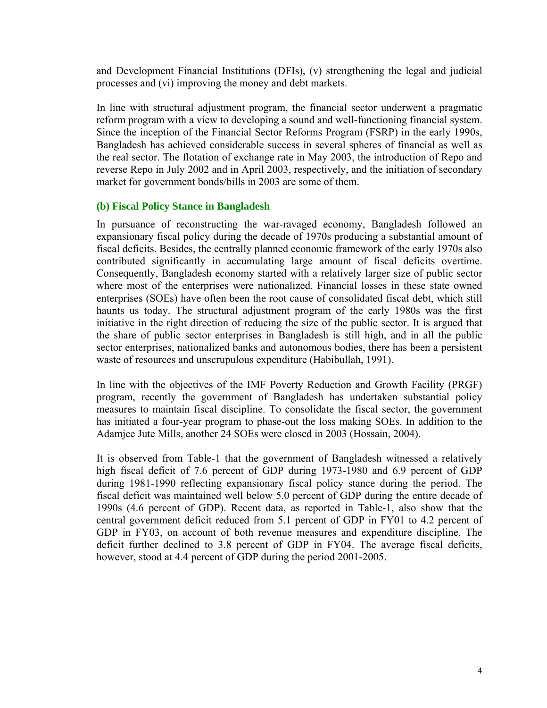and Development Financial Institutions (DFIs), (v) strengthening the legal and judicial processes and (vi) improving the money and debt markets.

In line with structural adjustment program, the financial sector underwent a pragmatic reform program with a view to developing a sound and well-functioning financial system. Since the inception of the Financial Sector Reforms Program (FSRP) in the early 1990s, Bangladesh has achieved considerable success in several spheres of financial as well as the real sector. The flotation of exchange rate in May 2003, the introduction of Repo and reverse Repo in July 2002 and in April 2003, respectively, and the initiation of secondary market for government bonds/bills in 2003 are some of them.

#### **(b) Fiscal Policy Stance in Bangladesh**

In pursuance of reconstructing the war-ravaged economy, Bangladesh followed an expansionary fiscal policy during the decade of 1970s producing a substantial amount of fiscal deficits. Besides, the centrally planned economic framework of the early 1970s also contributed significantly in accumulating large amount of fiscal deficits overtime. Consequently, Bangladesh economy started with a relatively larger size of public sector where most of the enterprises were nationalized. Financial losses in these state owned enterprises (SOEs) have often been the root cause of consolidated fiscal debt, which still haunts us today. The structural adjustment program of the early 1980s was the first initiative in the right direction of reducing the size of the public sector. It is argued that the share of public sector enterprises in Bangladesh is still high, and in all the public sector enterprises, nationalized banks and autonomous bodies, there has been a persistent waste of resources and unscrupulous expenditure (Habibullah, 1991).

In line with the objectives of the IMF Poverty Reduction and Growth Facility (PRGF) program, recently the government of Bangladesh has undertaken substantial policy measures to maintain fiscal discipline. To consolidate the fiscal sector, the government has initiated a four-year program to phase-out the loss making SOEs. In addition to the Adamjee Jute Mills, another 24 SOEs were closed in 2003 (Hossain, 2004).

It is observed from Table-1 that the government of Bangladesh witnessed a relatively high fiscal deficit of 7.6 percent of GDP during 1973-1980 and 6.9 percent of GDP during 1981-1990 reflecting expansionary fiscal policy stance during the period. The fiscal deficit was maintained well below 5.0 percent of GDP during the entire decade of 1990s (4.6 percent of GDP). Recent data, as reported in Table-1, also show that the central government deficit reduced from 5.1 percent of GDP in FY01 to 4.2 percent of GDP in FY03, on account of both revenue measures and expenditure discipline. The deficit further declined to 3.8 percent of GDP in FY04. The average fiscal deficits, however, stood at 4.4 percent of GDP during the period 2001-2005.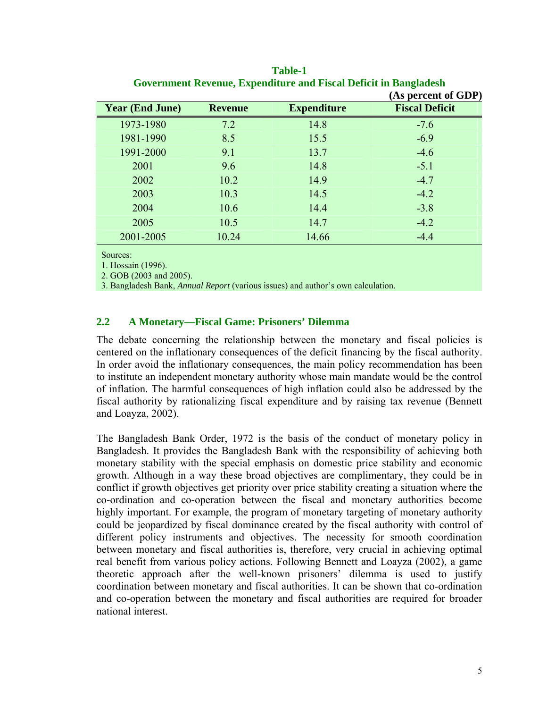|                        |                |                    | (As percent of GDP)   |
|------------------------|----------------|--------------------|-----------------------|
| <b>Year (End June)</b> | <b>Revenue</b> | <b>Expenditure</b> | <b>Fiscal Deficit</b> |
| 1973-1980              | 7.2            | 14.8               | $-7.6$                |
| 1981-1990              | 8.5            | 15.5               | $-6.9$                |
| 1991-2000              | 9.1            | 13.7               | $-4.6$                |
| 2001                   | 9.6            | 14.8               | $-5.1$                |
| 2002                   | 10.2           | 14.9               | $-4.7$                |
| 2003                   | 10.3           | 14.5               | $-4.2$                |
| 2004                   | 10.6           | 14.4               | $-3.8$                |
| 2005                   | 10.5           | 14.7               | $-4.2$                |
| 2001-2005              | 10.24          | 14.66              | $-4.4$                |

**Table-1 Government Revenue, Expenditure and Fiscal Deficit in Bangladesh**

Sources:

1. Hossain (1996).

2. GOB (2003 and 2005).

3. Bangladesh Bank, *Annual Report* (various issues) and author's own calculation.

## **2.2 A Monetary—Fiscal Game: Prisoners' Dilemma**

The debate concerning the relationship between the monetary and fiscal policies is centered on the inflationary consequences of the deficit financing by the fiscal authority. In order avoid the inflationary consequences, the main policy recommendation has been to institute an independent monetary authority whose main mandate would be the control of inflation. The harmful consequences of high inflation could also be addressed by the fiscal authority by rationalizing fiscal expenditure and by raising tax revenue (Bennett and Loayza, 2002).

The Bangladesh Bank Order, 1972 is the basis of the conduct of monetary policy in Bangladesh. It provides the Bangladesh Bank with the responsibility of achieving both monetary stability with the special emphasis on domestic price stability and economic growth. Although in a way these broad objectives are complimentary, they could be in conflict if growth objectives get priority over price stability creating a situation where the co-ordination and co-operation between the fiscal and monetary authorities become highly important. For example, the program of monetary targeting of monetary authority could be jeopardized by fiscal dominance created by the fiscal authority with control of different policy instruments and objectives. The necessity for smooth coordination between monetary and fiscal authorities is, therefore, very crucial in achieving optimal real benefit from various policy actions. Following Bennett and Loayza (2002), a game theoretic approach after the well-known prisoners' dilemma is used to justify coordination between monetary and fiscal authorities. It can be shown that co-ordination and co-operation between the monetary and fiscal authorities are required for broader national interest.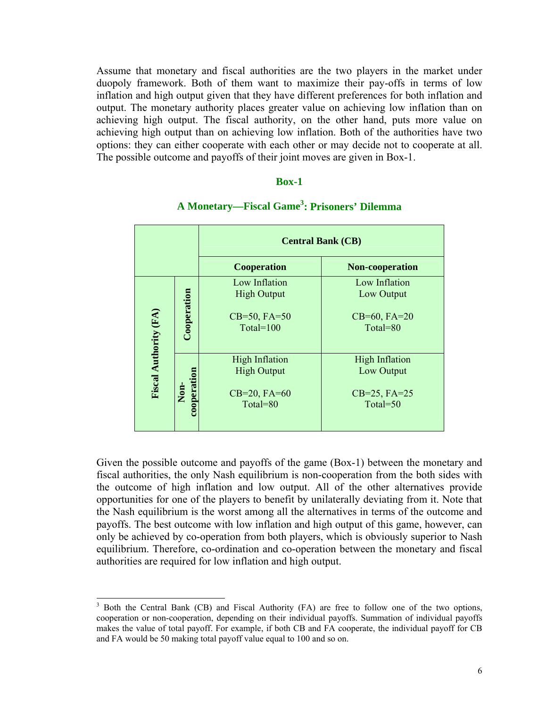Assume that monetary and fiscal authorities are the two players in the market under duopoly framework. Both of them want to maximize their pay-offs in terms of low inflation and high output given that they have different preferences for both inflation and output. The monetary authority places greater value on achieving low inflation than on achieving high output. The fiscal authority, on the other hand, puts more value on achieving high output than on achieving low inflation. Both of the authorities have two options: they can either cooperate with each other or may decide not to cooperate at all. The possible outcome and payoffs of their joint moves are given in Box-1.

#### **Box-1**

|                       |                     |                                                                           | <b>Central Bank (CB)</b>                                             |  |  |
|-----------------------|---------------------|---------------------------------------------------------------------------|----------------------------------------------------------------------|--|--|
|                       |                     | <b>Cooperation</b>                                                        | Non-cooperation                                                      |  |  |
|                       | Cooperation         | Low Inflation<br><b>High Output</b><br>$CB=50, FA=50$<br>Total= $100$     | Low Inflation<br>Low Output<br>$CB=60, FA=20$<br>Total= $80$         |  |  |
| Fiscal Authority (FA) | cooperation<br>Non- | <b>High Inflation</b><br><b>High Output</b><br>$CB=20, FA=60$<br>Total=80 | <b>High Inflation</b><br>Low Output<br>$CB=25, FA=25$<br>Total= $50$ |  |  |

# **A Monetary—Fiscal Gam[e3](#page-8-0) : Prisoners' Dilemma**

Given the possible outcome and payoffs of the game (Box-1) between the monetary and fiscal authorities, the only Nash equilibrium is non-cooperation from the both sides with the outcome of high inflation and low output. All of the other alternatives provide opportunities for one of the players to benefit by unilaterally deviating from it. Note that the Nash equilibrium is the worst among all the alternatives in terms of the outcome and payoffs. The best outcome with low inflation and high output of this game, however, can only be achieved by co-operation from both players, which is obviously superior to Nash equilibrium. Therefore, co-ordination and co-operation between the monetary and fiscal authorities are required for low inflation and high output.

<span id="page-8-0"></span> <sup>3</sup> <sup>3</sup> Both the Central Bank (CB) and Fiscal Authority (FA) are free to follow one of the two options, cooperation or non-cooperation, depending on their individual payoffs. Summation of individual payoffs makes the value of total payoff. For example, if both CB and FA cooperate, the individual payoff for CB and FA would be 50 making total payoff value equal to 100 and so on.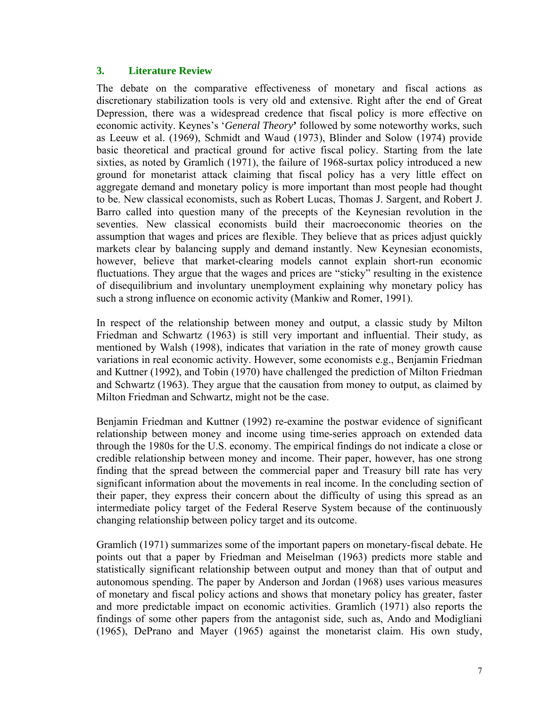## **3. Literature Review**

The debate on the comparative effectiveness of monetary and fiscal actions as discretionary stabilization tools is very old and extensive. Right after the end of Great Depression, there was a widespread credence that fiscal policy is more effective on economic activity. Keynes's '*General Theory***'** followed by some noteworthy works, such as Leeuw et al. (1969), Schmidt and Waud (1973), Blinder and Solow (1974) provide basic theoretical and practical ground for active fiscal policy. Starting from the late sixties, as noted by Gramlich (1971), the failure of 1968-surtax policy introduced a new ground for monetarist attack claiming that fiscal policy has a very little effect on aggregate demand and monetary policy is more important than most people had thought to be. New classical economists, such as Robert Lucas, Thomas J. Sargent, and Robert J. Barro called into question many of the precepts of the Keynesian revolution in the seventies. New classical economists build their macroeconomic theories on the assumption that wages and prices are flexible. They believe that as prices adjust quickly markets clear by balancing supply and demand instantly. New Keynesian economists, however, believe that market-clearing models cannot explain short-run economic fluctuations. They argue that the wages and prices are "sticky" resulting in the existence of disequilibrium and involuntary unemployment explaining why monetary policy has such a strong influence on economic activity (Mankiw and Romer, 1991).

In respect of the relationship between money and output, a classic study by Milton Friedman and Schwartz (1963) is still very important and influential. Their study, as mentioned by Walsh (1998), indicates that variation in the rate of money growth cause variations in real economic activity. However, some economists e.g., Benjamin Friedman and Kuttner (1992), and Tobin (1970) have challenged the prediction of Milton Friedman and Schwartz (1963). They argue that the causation from money to output, as claimed by Milton Friedman and Schwartz, might not be the case.

Benjamin Friedman and Kuttner (1992) re-examine the postwar evidence of significant relationship between money and income using time-series approach on extended data through the 1980s for the U.S. economy. The empirical findings do not indicate a close or credible relationship between money and income. Their paper, however, has one strong finding that the spread between the commercial paper and Treasury bill rate has very significant information about the movements in real income. In the concluding section of their paper, they express their concern about the difficulty of using this spread as an intermediate policy target of the Federal Reserve System because of the continuously changing relationship between policy target and its outcome.

Gramlich (1971) summarizes some of the important papers on monetary-fiscal debate. He points out that a paper by Friedman and Meiselman (1963) predicts more stable and statistically significant relationship between output and money than that of output and autonomous spending. The paper by Anderson and Jordan (1968) uses various measures of monetary and fiscal policy actions and shows that monetary policy has greater, faster and more predictable impact on economic activities. Gramlich (1971) also reports the findings of some other papers from the antagonist side, such as, Ando and Modigliani (1965), DePrano and Mayer (1965) against the monetarist claim. His own study,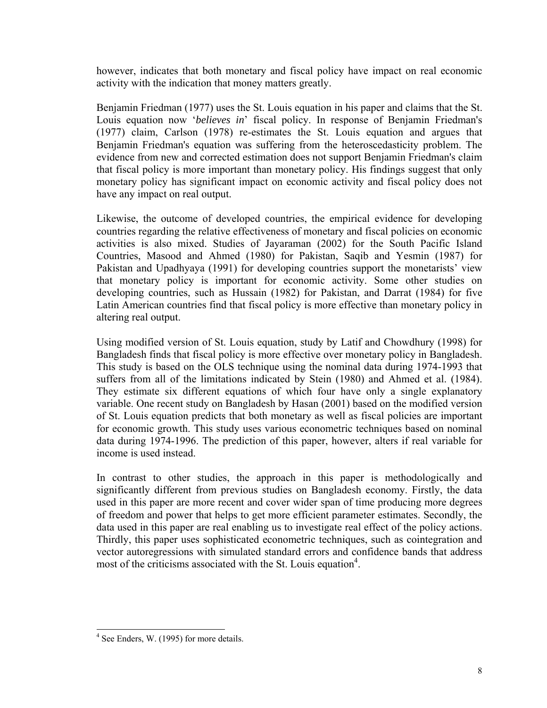however, indicates that both monetary and fiscal policy have impact on real economic activity with the indication that money matters greatly.

Benjamin Friedman (1977) uses the St. Louis equation in his paper and claims that the St. Louis equation now '*believes in*' fiscal policy. In response of Benjamin Friedman's (1977) claim, Carlson (1978) re-estimates the St. Louis equation and argues that Benjamin Friedman's equation was suffering from the heteroscedasticity problem. The evidence from new and corrected estimation does not support Benjamin Friedman's claim that fiscal policy is more important than monetary policy. His findings suggest that only monetary policy has significant impact on economic activity and fiscal policy does not have any impact on real output.

Likewise, the outcome of developed countries, the empirical evidence for developing countries regarding the relative effectiveness of monetary and fiscal policies on economic activities is also mixed. Studies of Jayaraman (2002) for the South Pacific Island Countries, Masood and Ahmed (1980) for Pakistan, Saqib and Yesmin (1987) for Pakistan and Upadhyaya (1991) for developing countries support the monetarists' view that monetary policy is important for economic activity. Some other studies on developing countries, such as Hussain (1982) for Pakistan, and Darrat (1984) for five Latin American countries find that fiscal policy is more effective than monetary policy in altering real output.

Using modified version of St. Louis equation, study by Latif and Chowdhury (1998) for Bangladesh finds that fiscal policy is more effective over monetary policy in Bangladesh. This study is based on the OLS technique using the nominal data during 1974-1993 that suffers from all of the limitations indicated by Stein (1980) and Ahmed et al. (1984). They estimate six different equations of which four have only a single explanatory variable. One recent study on Bangladesh by Hasan (2001) based on the modified version of St. Louis equation predicts that both monetary as well as fiscal policies are important for economic growth. This study uses various econometric techniques based on nominal data during 1974-1996. The prediction of this paper, however, alters if real variable for income is used instead.

In contrast to other studies, the approach in this paper is methodologically and significantly different from previous studies on Bangladesh economy. Firstly, the data used in this paper are more recent and cover wider span of time producing more degrees of freedom and power that helps to get more efficient parameter estimates. Secondly, the data used in this paper are real enabling us to investigate real effect of the policy actions. Thirdly, this paper uses sophisticated econometric techniques, such as cointegration and vector autoregressions with simulated standard errors and confidence bands that address most of the criticisms associated with the St. Louis equation<sup>[4](#page-10-0)</sup>.

<span id="page-10-0"></span> $4$  See Enders, W. (1995) for more details.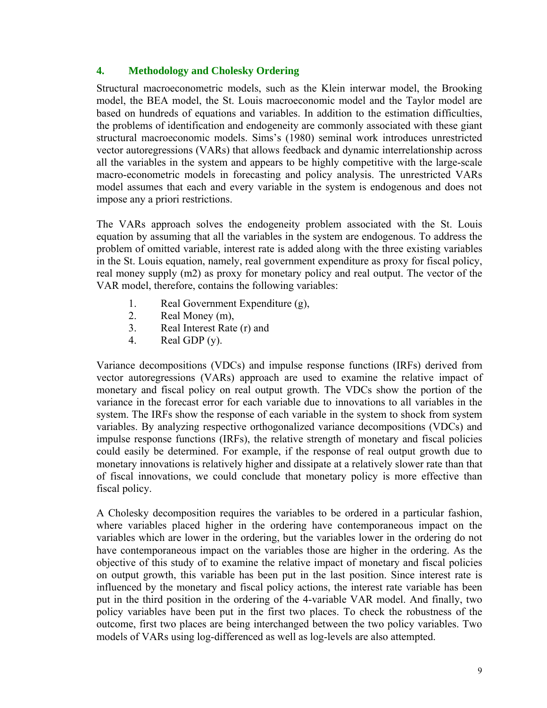## **4. Methodology and Cholesky Ordering**

Structural macroeconometric models, such as the Klein interwar model, the Brooking model, the BEA model, the St. Louis macroeconomic model and the Taylor model are based on hundreds of equations and variables. In addition to the estimation difficulties, the problems of identification and endogeneity are commonly associated with these giant structural macroeconomic models. Sims's (1980) seminal work introduces unrestricted vector autoregressions (VARs) that allows feedback and dynamic interrelationship across all the variables in the system and appears to be highly competitive with the large-scale macro-econometric models in forecasting and policy analysis. The unrestricted VARs model assumes that each and every variable in the system is endogenous and does not impose any a priori restrictions.

The VARs approach solves the endogeneity problem associated with the St. Louis equation by assuming that all the variables in the system are endogenous. To address the problem of omitted variable, interest rate is added along with the three existing variables in the St. Louis equation, namely, real government expenditure as proxy for fiscal policy, real money supply (m2) as proxy for monetary policy and real output. The vector of the VAR model, therefore, contains the following variables:

- 1. Real Government Expenditure (g),
- 2. Real Money (m),
- 3. Real Interest Rate (r) and
- 4. Real GDP (y).

Variance decompositions (VDCs) and impulse response functions (IRFs) derived from vector autoregressions (VARs) approach are used to examine the relative impact of monetary and fiscal policy on real output growth. The VDCs show the portion of the variance in the forecast error for each variable due to innovations to all variables in the system. The IRFs show the response of each variable in the system to shock from system variables. By analyzing respective orthogonalized variance decompositions (VDCs) and impulse response functions (IRFs), the relative strength of monetary and fiscal policies could easily be determined. For example, if the response of real output growth due to monetary innovations is relatively higher and dissipate at a relatively slower rate than that of fiscal innovations, we could conclude that monetary policy is more effective than fiscal policy.

A Cholesky decomposition requires the variables to be ordered in a particular fashion, where variables placed higher in the ordering have contemporaneous impact on the variables which are lower in the ordering, but the variables lower in the ordering do not have contemporaneous impact on the variables those are higher in the ordering. As the objective of this study of to examine the relative impact of monetary and fiscal policies on output growth, this variable has been put in the last position. Since interest rate is influenced by the monetary and fiscal policy actions, the interest rate variable has been put in the third position in the ordering of the 4-variable VAR model. And finally, two policy variables have been put in the first two places. To check the robustness of the outcome, first two places are being interchanged between the two policy variables. Two models of VARs using log-differenced as well as log-levels are also attempted.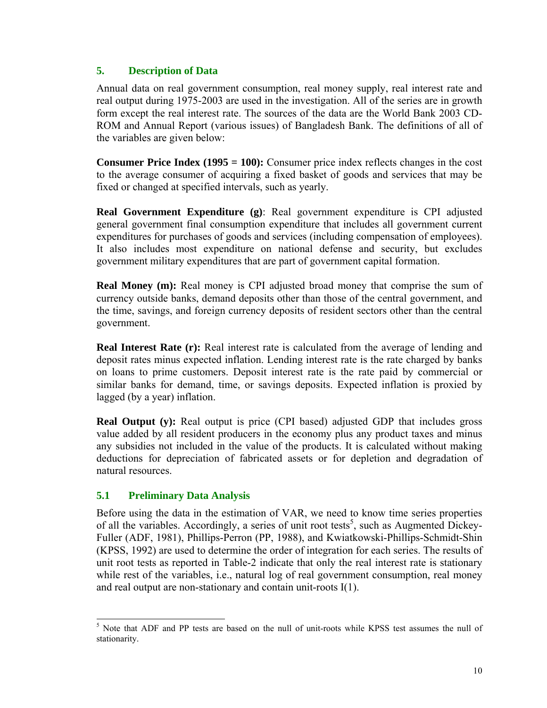## **5. Description of Data**

Annual data on real government consumption, real money supply, real interest rate and real output during 1975-2003 are used in the investigation. All of the series are in growth form except the real interest rate. The sources of the data are the World Bank 2003 CD-ROM and Annual Report (various issues) of Bangladesh Bank. The definitions of all of the variables are given below:

**Consumer Price Index (1995 = 100):** Consumer price index reflects changes in the cost to the average consumer of acquiring a fixed basket of goods and services that may be fixed or changed at specified intervals, such as yearly.

**Real Government Expenditure (g)**: Real government expenditure is CPI adjusted general government final consumption expenditure that includes all government current expenditures for purchases of goods and services (including compensation of employees). It also includes most expenditure on national defense and security, but excludes government military expenditures that are part of government capital formation.

**Real Money (m):** Real money is CPI adjusted broad money that comprise the sum of currency outside banks, demand deposits other than those of the central government, and the time, savings, and foreign currency deposits of resident sectors other than the central government.

**Real Interest Rate (r):** Real interest rate is calculated from the average of lending and deposit rates minus expected inflation. Lending interest rate is the rate charged by banks on loans to prime customers. Deposit interest rate is the rate paid by commercial or similar banks for demand, time, or savings deposits. Expected inflation is proxied by lagged (by a year) inflation.

**Real Output (y):** Real output is price (CPI based) adjusted GDP that includes gross value added by all resident producers in the economy plus any product taxes and minus any subsidies not included in the value of the products. It is calculated without making deductions for depreciation of fabricated assets or for depletion and degradation of natural resources.

## **5.1 Preliminary Data Analysis**

Before using the data in the estimation of VAR, we need to know time series properties of all the variables. Accordingly, a series of unit root tests<sup>[5](#page-12-0)</sup>, such as Augmented Dickey-Fuller (ADF, 1981), Phillips-Perron (PP, 1988), and Kwiatkowski-Phillips-Schmidt-Shin (KPSS, 1992) are used to determine the order of integration for each series. The results of unit root tests as reported in Table-2 indicate that only the real interest rate is stationary while rest of the variables, i.e., natural log of real government consumption, real money and real output are non-stationary and contain unit-roots I(1).

<span id="page-12-0"></span> <sup>5</sup> <sup>5</sup> Note that ADF and PP tests are based on the null of unit-roots while KPSS test assumes the null of stationarity.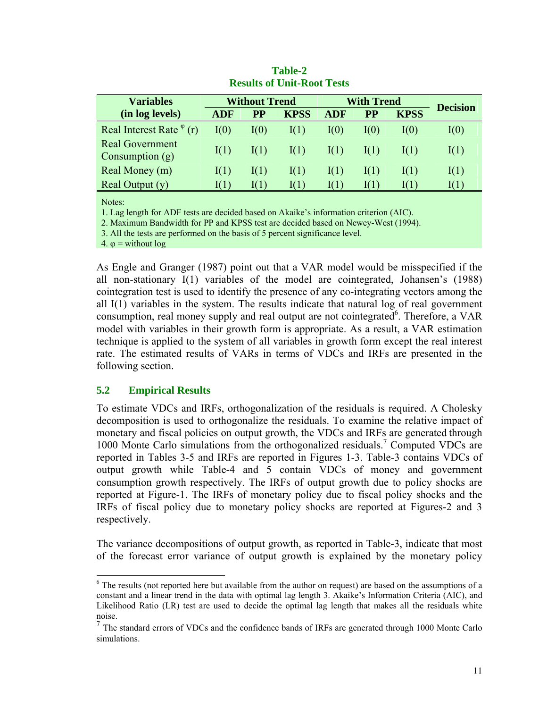| <b>Variables</b>                            | <b>Without Trend</b> |              | With Trend  |                 |               |               |                 |
|---------------------------------------------|----------------------|--------------|-------------|-----------------|---------------|---------------|-----------------|
| (in log levels)                             | <b>ADF</b>           | <b>PP</b>    | <b>KPSS</b> | <b>ADF</b>      | <b>PP</b>     | <b>KPSS</b>   | <b>Decision</b> |
| Real Interest Rate $\varphi$ (r)            | I(0)                 | ${\rm I}(0)$ | I(1)        | I(0)            | I(0)          | I(0)          | I(0)            |
| <b>Real Government</b><br>Consumption $(g)$ | I(1)                 | I(1)         | I(1)        | $\mathrm{I}(1)$ | $\text{I}(1)$ | $\text{I}(1)$ | I(1)            |
| Real Money (m)                              | I(1)                 | I(1)         | I(1)        | I(1)            | $\text{I}(1)$ | I(1)          | I(1)            |
| Real Output $(y)$                           | 1( 1 )               | 10 I D       | 1(1)        | 1(1)            |               | 1( 1 )        | 10 1 1          |

**Table-2 Results of Unit-Root Tests** 

Notes:

1. Lag length for ADF tests are decided based on Akaike's information criterion (AIC).

2. Maximum Bandwidth for PP and KPSS test are decided based on Newey-West (1994).

3. All the tests are performed on the basis of 5 percent significance level.

4. φ = without log

As Engle and Granger (1987) point out that a VAR model would be misspecified if the all non-stationary I(1) variables of the model are cointegrated, Johansen's (1988) cointegration test is used to identify the presence of any co-integrating vectors among the all I(1) variables in the system. The results indicate that natural log of real government consumption, real money supply and real output are not cointegrated<sup>[6](#page-13-0)</sup>. Therefore, a VAR model with variables in their growth form is appropriate. As a result, a VAR estimation technique is applied to the system of all variables in growth form except the real interest rate. The estimated results of VARs in terms of VDCs and IRFs are presented in the following section.

#### **5.2 Empirical Results**

To estimate VDCs and IRFs, orthogonalization of the residuals is required. A Cholesky decomposition is used to orthogonalize the residuals. To examine the relative impact of monetary and fiscal policies on output growth, the VDCs and IRFs are generated through 1000 Monte Carlo simulations from the orthogonalized residuals.<sup>7</sup> Computed VDCs are reported in Tables 3-5 and IRFs are reported in Figures 1-3. Table-3 contains VDCs of output growth while Table-4 and 5 contain VDCs of money and government consumption growth respectively. The IRFs of output growth due to policy shocks are reported at Figure-1. The IRFs of monetary policy due to fiscal policy shocks and the IRFs of fiscal policy due to monetary policy shocks are reported at Figures-2 and 3 respectively.

The variance decompositions of output growth, as reported in Table-3, indicate that most of the forecast error variance of output growth is explained by the monetary policy

<span id="page-13-0"></span> <sup>6</sup> <sup>6</sup> The results (not reported here but available from the author on request) are based on the assumptions of a constant and a linear trend in the data with optimal lag length 3. Akaike's Information Criteria (AIC), and Likelihood Ratio (LR) test are used to decide the optimal lag length that makes all the residuals white noise.<br><sup>7</sup> The standard errors of VDCs and the confidence bands of IRFs are generated through 1000 Monte Carlo

<span id="page-13-1"></span>simulations.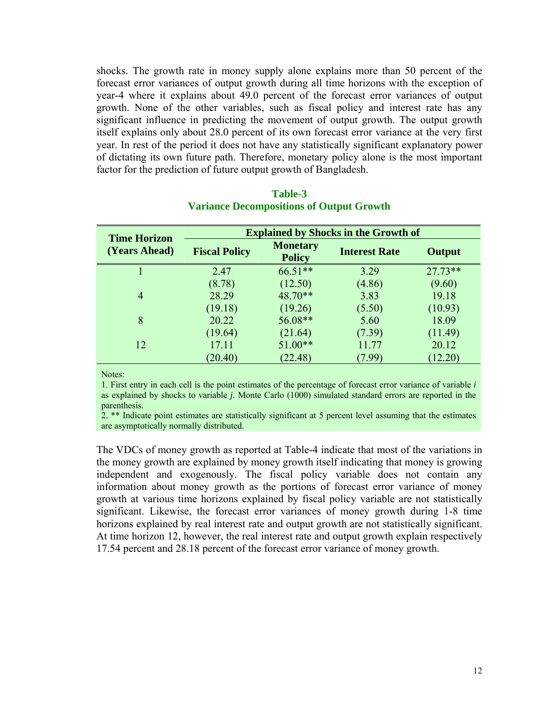shocks. The growth rate in money supply alone explains more than 50 percent of the forecast error variances of output growth during all time horizons with the exception of year-4 where it explains about 49.0 percent of the forecast error variances of output growth. None of the other variables, such as fiscal policy and interest rate has any significant influence in predicting the movement of output growth. The output growth itself explains only about 28.0 percent of its own forecast error variance at the very first year. In rest of the period it does not have any statistically significant explanatory power of dictating its own future path. Therefore, monetary policy alone is the most important factor for the prediction of future output growth of Bangladesh.

| <b>Time Horizon</b> | <b>Explained by Shocks in the Growth of</b> |                                  |                      |           |  |
|---------------------|---------------------------------------------|----------------------------------|----------------------|-----------|--|
| (Years Ahead)       | <b>Fiscal Policy</b>                        | <b>Monetary</b><br><b>Policy</b> | <b>Interest Rate</b> | Output    |  |
|                     | 2.47                                        | 66.51**                          | 3.29                 | $27.73**$ |  |
|                     | (8.78)                                      | (12.50)                          | (4.86)               | (9.60)    |  |
| $\overline{4}$      | 28.29                                       | 48.70**                          | 3.83                 | 19.18     |  |
|                     | (19.18)                                     | (19.26)                          | (5.50)               | (10.93)   |  |
| 8                   | 20.22                                       | 56.08**                          | 5.60                 | 18.09     |  |
|                     | (19.64)                                     | (21.64)                          | (7.39)               | (11.49)   |  |
| 12                  | 17.11                                       | $51.00**$                        | 11.77                | 20.12     |  |
|                     | (20.40)                                     | (22.48)                          | (7.99)               | (12.20)   |  |

#### **Table-3 Variance Decompositions of Output Growth**

Notes:

1. First entry in each cell is the point estimates of the percentage of forecast error variance of variable *i* as explained by shocks to variable *j*. Monte Carlo (1000) simulated standard errors are reported in the parenthesis.

2. \*\* Indicate point estimates are statistically significant at 5 percent level assuming that the estimates are asymptotically normally distributed.

The VDCs of money growth as reported at Table-4 indicate that most of the variations in the money growth are explained by money growth itself indicating that money is growing independent and exogenously. The fiscal policy variable does not contain any information about money growth as the portions of forecast error variance of money growth at various time horizons explained by fiscal policy variable are not statistically significant. Likewise, the forecast error variances of money growth during 1-8 time horizons explained by real interest rate and output growth are not statistically significant. At time horizon 12, however, the real interest rate and output growth explain respectively 17.54 percent and 28.18 percent of the forecast error variance of money growth.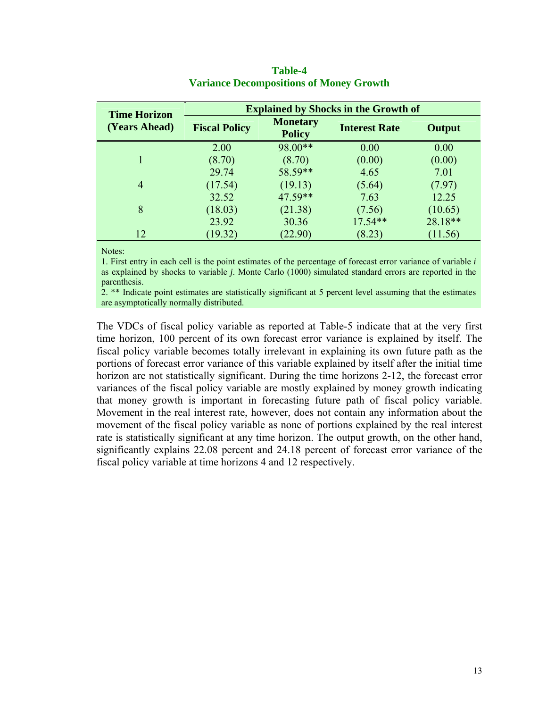| <b>Time Horizon</b> | <b>Explained by Shocks in the Growth of</b> |                                  |                      |         |  |
|---------------------|---------------------------------------------|----------------------------------|----------------------|---------|--|
| (Years Ahead)       | <b>Fiscal Policy</b>                        | <b>Monetary</b><br><b>Policy</b> | <b>Interest Rate</b> | Output  |  |
|                     | 2.00                                        | 98.00**                          | 0.00                 | 0.00    |  |
|                     | (8.70)                                      | (8.70)                           | (0.00)               | (0.00)  |  |
|                     | 29.74                                       | 58.59**                          | 4.65                 | 7.01    |  |
| $\overline{4}$      | (17.54)                                     | (19.13)                          | (5.64)               | (7.97)  |  |
|                     | 32.52                                       | $47.59**$                        | 7.63                 | 12.25   |  |
| 8                   | (18.03)                                     | (21.38)                          | (7.56)               | (10.65) |  |
|                     | 23.92                                       | 30.36                            | $17.54**$            | 28.18** |  |
| 12                  | (19.32)                                     | (22.90)                          | (8.23)               | (11.56) |  |

#### **Table-4 Variance Decompositions of Money Growth**

Notes:

1. First entry in each cell is the point estimates of the percentage of forecast error variance of variable *i* as explained by shocks to variable *j*. Monte Carlo (1000) simulated standard errors are reported in the parenthesis.

2. \*\* Indicate point estimates are statistically significant at 5 percent level assuming that the estimates are asymptotically normally distributed.

The VDCs of fiscal policy variable as reported at Table-5 indicate that at the very first time horizon, 100 percent of its own forecast error variance is explained by itself. The fiscal policy variable becomes totally irrelevant in explaining its own future path as the portions of forecast error variance of this variable explained by itself after the initial time horizon are not statistically significant. During the time horizons 2-12, the forecast error variances of the fiscal policy variable are mostly explained by money growth indicating that money growth is important in forecasting future path of fiscal policy variable. Movement in the real interest rate, however, does not contain any information about the movement of the fiscal policy variable as none of portions explained by the real interest rate is statistically significant at any time horizon. The output growth, on the other hand, significantly explains 22.08 percent and 24.18 percent of forecast error variance of the fiscal policy variable at time horizons 4 and 12 respectively.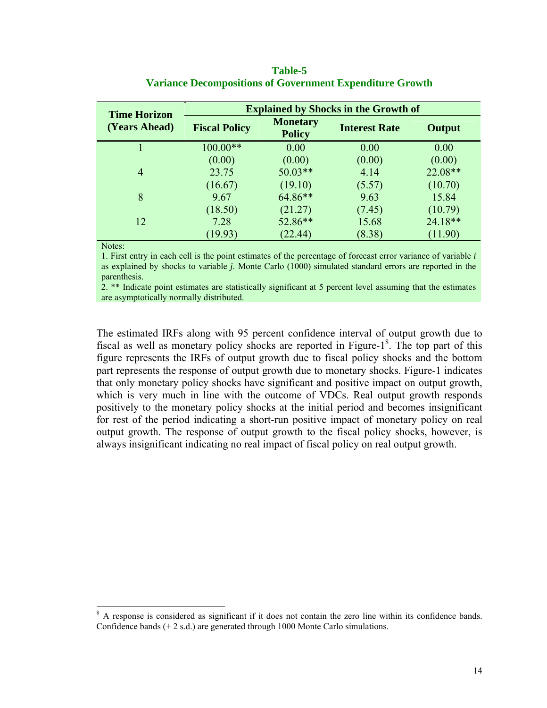| <b>Time Horizon</b> | <b>Explained by Shocks in the Growth of</b> |                                  |                      |         |  |
|---------------------|---------------------------------------------|----------------------------------|----------------------|---------|--|
| (Years Ahead)       | <b>Fiscal Policy</b>                        | <b>Monetary</b><br><b>Policy</b> | <b>Interest Rate</b> | Output  |  |
|                     | $100.00**$                                  | 0.00                             | 0.00                 | 0.00    |  |
|                     | (0.00)                                      | (0.00)                           | (0.00)               | (0.00)  |  |
| $\overline{4}$      | 23.75                                       | $50.03**$                        | 4.14                 | 22.08** |  |
|                     | (16.67)                                     | (19.10)                          | (5.57)               | (10.70) |  |
| 8                   | 9.67                                        | 64.86**                          | 9.63                 | 15.84   |  |
|                     | (18.50)                                     | (21.27)                          | (7.45)               | (10.79) |  |
| 12                  | 7.28                                        | 52.86**                          | 15.68                | 24.18** |  |
|                     | (19.93)                                     | (22.44)                          | (8.38)               | (11.90) |  |

| <b>Table-5</b>                                                  |  |
|-----------------------------------------------------------------|--|
| <b>Variance Decompositions of Government Expenditure Growth</b> |  |

Notes:

1. First entry in each cell is the point estimates of the percentage of forecast error variance of variable *i* as explained by shocks to variable *j*. Monte Carlo (1000) simulated standard errors are reported in the parenthesis.

2. \*\* Indicate point estimates are statistically significant at 5 percent level assuming that the estimates are asymptotically normally distributed.

The estimated IRFs along with 95 percent confidence interval of output growth due to fiscal as well as monetary policy shocks are reported in Figure- $1<sup>8</sup>$ . The top part of this figure represents the IRFs of output growth due to fiscal policy shocks and the bottom part represents the response of output growth due to monetary shocks. Figure-1 indicates that only monetary policy shocks have significant and positive impact on output growth, which is very much in line with the outcome of VDCs. Real output growth responds positively to the monetary policy shocks at the initial period and becomes insignificant for rest of the period indicating a short-run positive impact of monetary policy on real output growth. The response of output growth to the fiscal policy shocks, however, is always insignificant indicating no real impact of fiscal policy on real output growth.

<span id="page-16-0"></span><sup>&</sup>lt;sup>8</sup> A response is considered as significant if it does not contain the zero line within its confidence bands. Confidence bands (+ 2 s.d.) are generated through 1000 Monte Carlo simulations.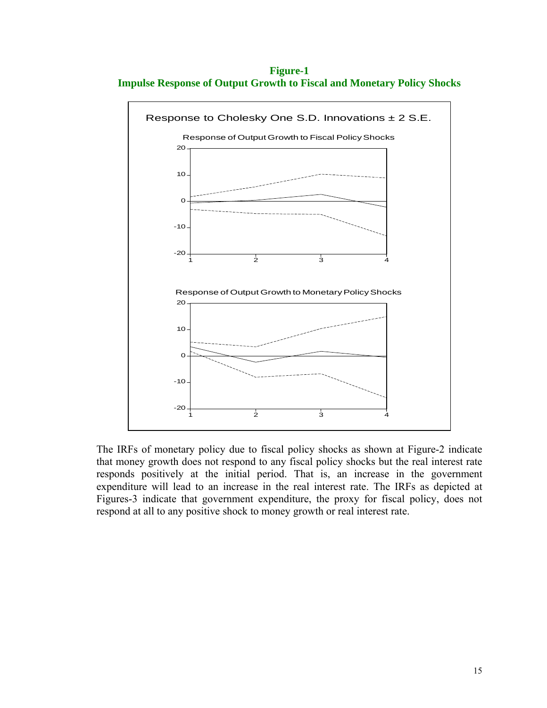**Figure-1 Impulse Response of Output Growth to Fiscal and Monetary Policy Shocks** 



The IRFs of monetary policy due to fiscal policy shocks as shown at Figure-2 indicate that money growth does not respond to any fiscal policy shocks but the real interest rate responds positively at the initial period. That is, an increase in the government expenditure will lead to an increase in the real interest rate. The IRFs as depicted at Figures-3 indicate that government expenditure, the proxy for fiscal policy, does not respond at all to any positive shock to money growth or real interest rate.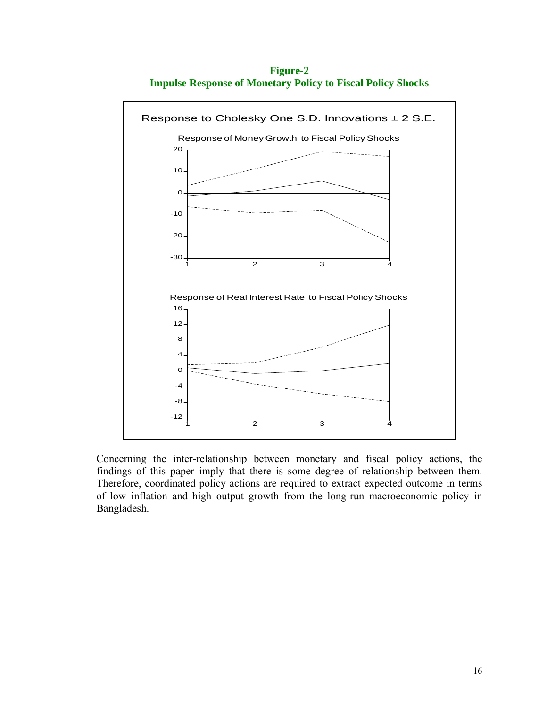**Figure-2 Impulse Response of Monetary Policy to Fiscal Policy Shocks** 



Concerning the inter-relationship between monetary and fiscal policy actions, the findings of this paper imply that there is some degree of relationship between them. Therefore, coordinated policy actions are required to extract expected outcome in terms of low inflation and high output growth from the long-run macroeconomic policy in Bangladesh.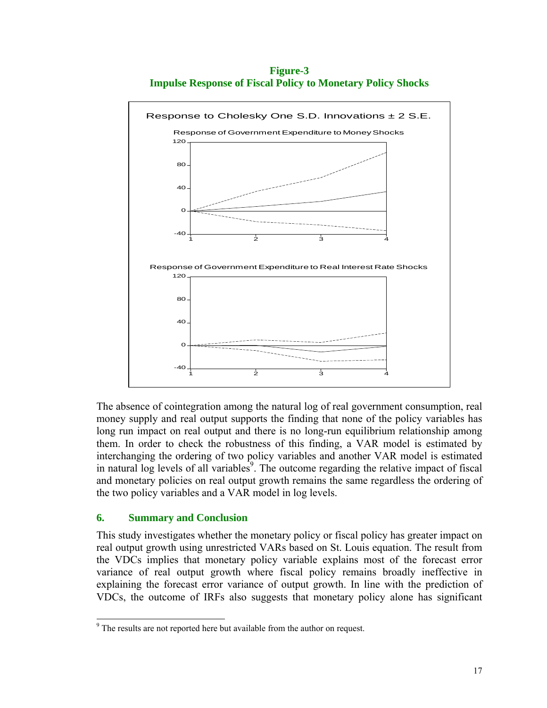**Figure-3 Impulse Response of Fiscal Policy to Monetary Policy Shocks** 



The absence of cointegration among the natural log of real government consumption, real money supply and real output supports the finding that none of the policy variables has long run impact on real output and there is no long-run equilibrium relationship among them. In order to check the robustness of this finding, a VAR model is estimated by interchanging the ordering of two policy variables and another VAR model is estimated in natural log levels of all variables<sup>9</sup>. The outcome regarding the relative impact of fiscal and monetary policies on real output growth remains the same regardless the ordering of the two policy variables and a VAR model in log levels.

#### **6. Summary and Conclusion**

This study investigates whether the monetary policy or fiscal policy has greater impact on real output growth using unrestricted VARs based on St. Louis equation. The result from the VDCs implies that monetary policy variable explains most of the forecast error variance of real output growth where fiscal policy remains broadly ineffective in explaining the forecast error variance of output growth. In line with the prediction of VDCs, the outcome of IRFs also suggests that monetary policy alone has significant

<span id="page-19-0"></span><sup>9</sup> <sup>9</sup> The results are not reported here but available from the author on request.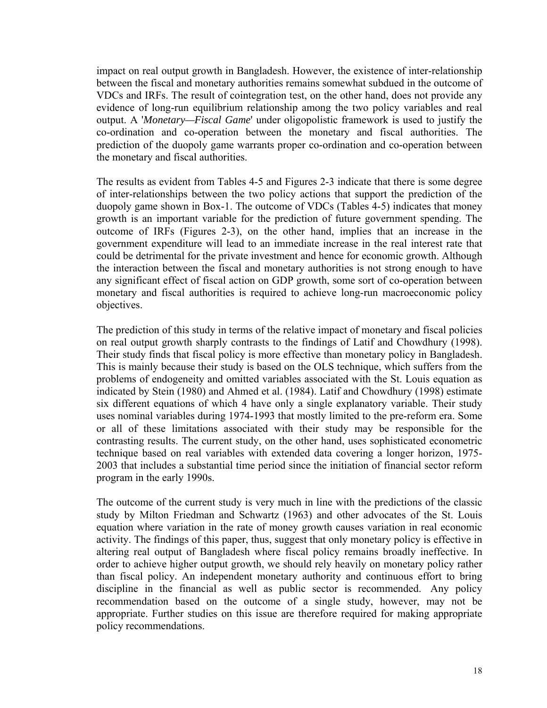impact on real output growth in Bangladesh. However, the existence of inter-relationship between the fiscal and monetary authorities remains somewhat subdued in the outcome of VDCs and IRFs. The result of cointegration test, on the other hand, does not provide any evidence of long-run equilibrium relationship among the two policy variables and real output. A '*Monetary—Fiscal Game*' under oligopolistic framework is used to justify the co-ordination and co-operation between the monetary and fiscal authorities. The prediction of the duopoly game warrants proper co-ordination and co-operation between the monetary and fiscal authorities.

The results as evident from Tables 4-5 and Figures 2-3 indicate that there is some degree of inter-relationships between the two policy actions that support the prediction of the duopoly game shown in Box-1. The outcome of VDCs (Tables 4-5) indicates that money growth is an important variable for the prediction of future government spending. The outcome of IRFs (Figures 2-3), on the other hand, implies that an increase in the government expenditure will lead to an immediate increase in the real interest rate that could be detrimental for the private investment and hence for economic growth. Although the interaction between the fiscal and monetary authorities is not strong enough to have any significant effect of fiscal action on GDP growth, some sort of co-operation between monetary and fiscal authorities is required to achieve long-run macroeconomic policy objectives.

The prediction of this study in terms of the relative impact of monetary and fiscal policies on real output growth sharply contrasts to the findings of Latif and Chowdhury (1998). Their study finds that fiscal policy is more effective than monetary policy in Bangladesh. This is mainly because their study is based on the OLS technique, which suffers from the problems of endogeneity and omitted variables associated with the St. Louis equation as indicated by Stein (1980) and Ahmed et al. (1984). Latif and Chowdhury (1998) estimate six different equations of which 4 have only a single explanatory variable. Their study uses nominal variables during 1974-1993 that mostly limited to the pre-reform era. Some or all of these limitations associated with their study may be responsible for the contrasting results. The current study, on the other hand, uses sophisticated econometric technique based on real variables with extended data covering a longer horizon, 1975- 2003 that includes a substantial time period since the initiation of financial sector reform program in the early 1990s.

The outcome of the current study is very much in line with the predictions of the classic study by Milton Friedman and Schwartz (1963) and other advocates of the St. Louis equation where variation in the rate of money growth causes variation in real economic activity. The findings of this paper, thus, suggest that only monetary policy is effective in altering real output of Bangladesh where fiscal policy remains broadly ineffective. In order to achieve higher output growth, we should rely heavily on monetary policy rather than fiscal policy. An independent monetary authority and continuous effort to bring discipline in the financial as well as public sector is recommended. Any policy recommendation based on the outcome of a single study, however, may not be appropriate. Further studies on this issue are therefore required for making appropriate policy recommendations.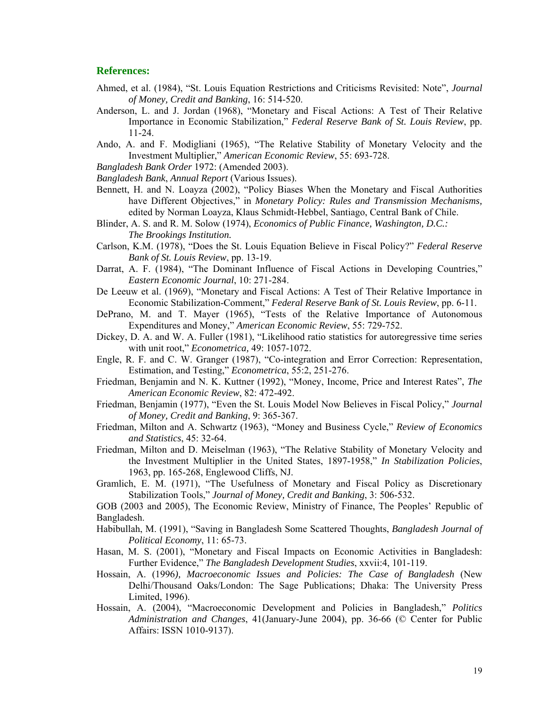#### **References:**

- Ahmed, et al. (1984), "St. Louis Equation Restrictions and Criticisms Revisited: Note", *Journal of Money, Credit and Banking*, 16: 514-520.
- Anderson, L. and J. Jordan (1968), "Monetary and Fiscal Actions: A Test of Their Relative Importance in Economic Stabilization," *Federal Reserve Bank of St. Louis Review*, pp. 11-24.
- Ando, A. and F. Modigliani (1965), "The Relative Stability of Monetary Velocity and the Investment Multiplier," *American Economic Review*, 55: 693-728.
- *Bangladesh Bank Order* 1972: (Amended 2003).
- *Bangladesh Bank*, *Annual Report* (Various Issues).
- Bennett, H. and N. Loayza (2002), "Policy Biases When the Monetary and Fiscal Authorities have Different Objectives," in *Monetary Policy: Rules and Transmission Mechanisms,* edited by Norman Loayza, Klaus Schmidt-Hebbel, Santiago, Central Bank of Chile.
- Blinder, A. S. and R. M. Solow (1974), *Economics of Public Finance, Washington, D.C.: The Brookings Institution.*
- Carlson, K.M. (1978), "Does the St. Louis Equation Believe in Fiscal Policy?" *Federal Reserve Bank of St. Louis Review*, pp. 13-19.
- Darrat, A. F. (1984), "The Dominant Influence of Fiscal Actions in Developing Countries," *Eastern Economic Journal*, 10: 271-284.
- De Leeuw et al. (1969), "Monetary and Fiscal Actions: A Test of Their Relative Importance in Economic Stabilization-Comment," *Federal Reserve Bank of St. Louis Review*, pp. 6-11.
- DePrano, M. and T. Mayer (1965), "Tests of the Relative Importance of Autonomous Expenditures and Money," *American Economic Review*, 55: 729-752.
- Dickey, D. A. and W. A. Fuller (1981), "Likelihood ratio statistics for autoregressive time series with unit root," *Econometrica,* 49: 1057-1072.
- Engle, R. F. and C. W. Granger (1987), "Co-integration and Error Correction: Representation, Estimation, and Testing," *Econometrica*, 55:2, 251-276.
- Friedman, Benjamin and N. K. Kuttner (1992), "Money, Income, Price and Interest Rates", *The American Economic Review*, 82: 472-492.
- Friedman, Benjamin (1977), "Even the St. Louis Model Now Believes in Fiscal Policy," *Journal of Money, Credit and Banking*, 9: 365-367.
- Friedman, Milton and A. Schwartz (1963), "Money and Business Cycle," *Review of Economics and Statistics*, 45: 32-64.
- Friedman, Milton and D. Meiselman (1963), "The Relative Stability of Monetary Velocity and the Investment Multiplier in the United States, 1897-1958," *In Stabilization Policies*, 1963, pp. 165-268, Englewood Cliffs, NJ.
- Gramlich, E. M. (1971), "The Usefulness of Monetary and Fiscal Policy as Discretionary Stabilization Tools," *Journal of Money, Credit and Banking*, 3: 506-532.

GOB (2003 and 2005), The Economic Review, Ministry of Finance, The Peoples' Republic of Bangladesh.

- Habibullah, M. (1991), "Saving in Bangladesh Some Scattered Thoughts, *Bangladesh Journal of Political Economy*, 11: 65-73.
- Hasan, M. S. (2001), "Monetary and Fiscal Impacts on Economic Activities in Bangladesh: Further Evidence," *The Bangladesh Development Studies*, xxvii:4, 101-119.
- Hossain, A. (1996*), Macroeconomic Issues and Policies: The Case of Bangladesh* (New Delhi/Thousand Oaks/London: The Sage Publications; Dhaka: The University Press Limited, 1996).
- Hossain, A. (2004), "Macroeconomic Development and Policies in Bangladesh," *Politics Administration and Changes*, 41(January-June 2004), pp. 36-66 (© Center for Public Affairs: ISSN 1010-9137).